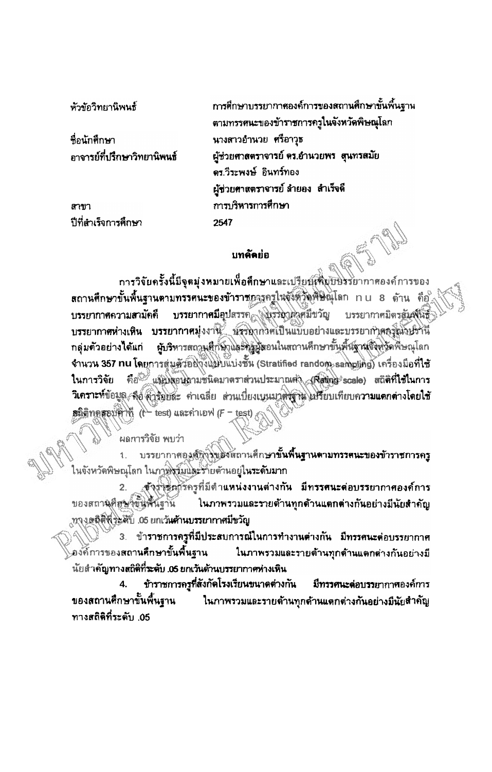หัวข้อวิทยานิพนธ์

ชื่อนักศึกษา อาจารย์ที่ปรึกษาวิทยานิพนธ์

สาขา ปีที่สำเร็จการศึกษา การศึกษาบรรยากาศองค์การของสถานศึกษาขั้นพื้นฐาน ตามทรรศนะของข้าราชการกรูในจังหวัดพิษณุโลก นางสาวอำนวย ศรีอาวุธ ผู้ช่วยศาสตราจารย์ ตร.อำนวยพร\_สุนทรสมัย ดร.วีระพงษ์ อินทร์ทอง ผู้ช่วยศาสตราจารย์ ลำยอง สำเร็จดี การบริหารการศึกษา 2547

## นทคัดย่อ

การวิจัยครั้งนี้มีจุดมุ่งหมายเพื่อศึกษาและเป<u>รียญคือบั</u>บรรยากาศองค์การของ .สถานศึกษาขั้นพื้นฐานตามทรรศนะของข้าราชอารุกรูในจังตัวดูพิษิณุโลก nu 8 ด้าน คือไ บรรยากาศมีอุปสรรค (พรระบุคิสมีขวัญ บรรยากาศความสามัคคี บรรยากาศมิตรสัมพินธุ์ บรรยากาศท่างเหิน บรรยากาศมุ่งงาน นั่งระดากวิศเป็นแบบอย่างและบรรยากำตกรุณาปรานี **ผู้บริหารสถานสี่กษาและครูผู้ตอนในสถานคึกษาขั้นพื้นฐานจึงท**ุวัดพิษณุโลก กลุ่มตัวอย่างได้แก่ จำนวน 357 nu โดยการสุ่มตัวอยู่งึงแม้บแบ่งชั้น (Stratified random sampling) เครื่องมือที่ใช้ ในการวิจัย คือ แบบลอนถามชนิดมาตราส่วนประมาณต่า (Ravige scale) สถิติที่ใช้ในการ วิเคราะห์ข้อมูล สื่อ คำรับบละ ค่าเฉลี่ย ส่วนเบี่ยงเบนมาตรฐาน ปรียบเทียบความแดกต่างโดยใช้ ดลิติทคสอบค่าที (t- test) และค่าเอฟ (F - test)

ผลการวิจัย พบว่า

บรรยากาศองสัญรัฐเมื่อสุดถานศึกษาขั้**นพื้นฐานตามทรรศนะของข้าราชการครู** ในจังหวัดพิษณุโลก ในภาพิฐมันโละรัก๊ยด้านอยู่ใ**นระดับมาก** 

ุสังวันอักรักรูที่มีตำแหน่งงานต่างกัน มีทรรศนะต่อบรรยากาศองค์การ ของสถานคิดของขั้นพื้นฐาน ้ ในภาพรวมและรายด้านทุกด้านแตกต่างกันอย่างมีนัยสำคัญ .ทางคลิติที่วะศับ .05 ยกเว้นด้านบรรยากาศมีขวัญ

3. ข้าราชการครูที่มีประสบการณ์ในการทำงานต่างกัน มีทรรศนะต่อบรรยากาศ องค์การของสถานศึกษาขั้นพื้นฐาน ในภาพรวมและรายต้านทุกด้านแตกต่างกันอย่างมี นัยสำคัญทาง<mark>สถิติที่ระดับ .05 ยกเว้นด้านบรรยากาศท่างเหิน</mark>

ข้าราชการครูที่สังกัดโรงเรียนขนาดต่างกัน มีทรรศนะต่อบรรยากาศองค์การ ของสถานศึกษาขั้นพื้นฐาน ในภาพรวมและรายด้านทุกด้านแตกต่างกันอย่างมีนัยสำคัญ ทางสถิติที่ระดับ .05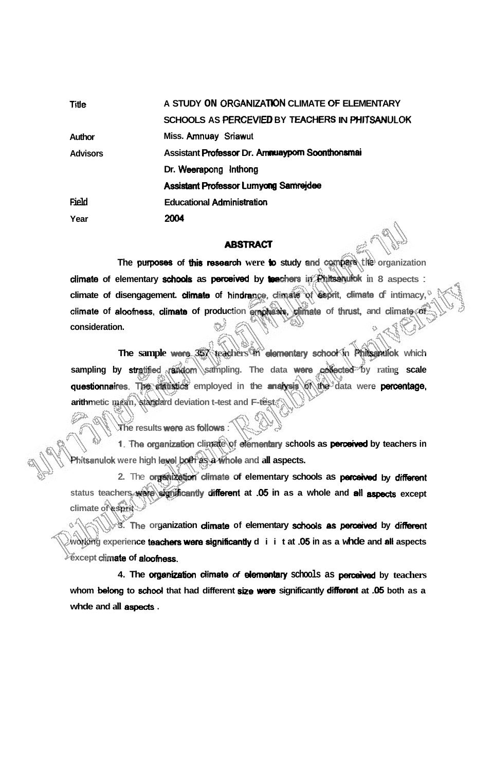| <b>Title</b>    | A STUDY ON ORGANIZATION CLIMATE OF ELEMENTARY   |
|-----------------|-------------------------------------------------|
|                 | SCHOOLS AS PERCEVIED BY TEACHERS IN PHITSANULOK |
| Author          | Miss. Amnuay Sriawut                            |
| <b>Advisors</b> | Assistant Professor Dr. Ammuaypom Soonthonsmai  |
|                 | Dr. Weerapong Inthong                           |
|                 | <b>Assistant Professor Lumyong Samrejdee</b>    |
| Field           | <b>Educational Administration</b>               |
| Year            | 2004                                            |

## **ABSTRACT**

**The purposes of this research were <b>b** study and compare the organization **dimate of elementary** *hods* **as** pceived **by** Leathers **in Phinulok in 8 aspects** : **climate of disengagement. dimate of hindran-, dimate of** *esprit,* **dimate of intimacy, climate of aloofness, dimate of production em@msis, dimate of** thrust **and dimate of consideration.** 

**The sample** were **357 teachers in dmwmhy schd in Phitsanuk which by stratified rendom sampling. The data were collected by rating scale questionnaires. The statistics employed in the analysis of the data were percentage, arithmetic mean, standard deviation t-test and F-test** 

**The results were as follows**:

1. The organization climate of elementary schools as **perceived** by teachers in **Phitanulok were high** Id **both as a whde and all aspects.** 

2. The **organization climate of elementary schools as perceived by different status teachers** were **signficantfy different at -05 in as a whole and at1 except climate of esprit** 

**3.** The organization dimate of elementary schools as perceived by different **working experience teachers** were **significantly diit at -05 in as a whde and all aspects except climate of aloomess.** 

**4. The wnbaticm dimete of dmwrtary schools as by teachers**  whom belong to school that had different size were significantly different at .05 both as a **whde and all aspeds** .